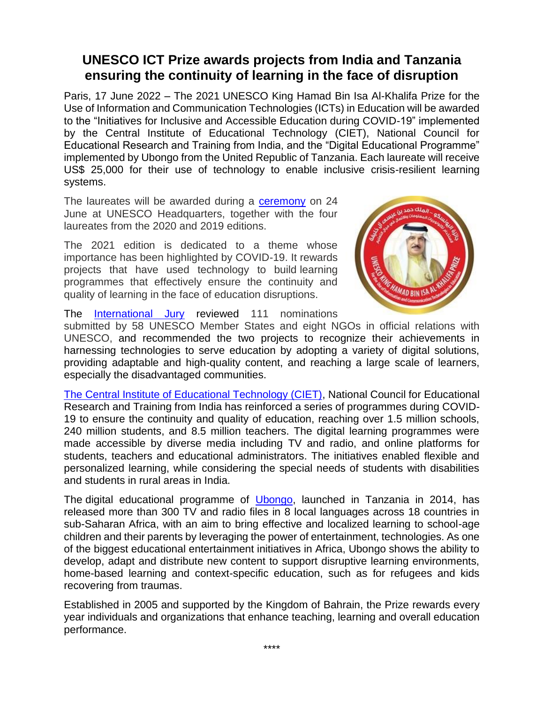## **UNESCO ICT Prize awards projects from India and Tanzania ensuring the continuity of learning in the face of disruption**

Paris, 17 June 2022 – The 2021 UNESCO King Hamad Bin Isa Al-Khalifa Prize for the Use of Information and Communication Technologies (ICTs) in Education will be awarded to the "Initiatives for Inclusive and Accessible Education during COVID-19" implemented by the Central Institute of Educational Technology (CIET), National Council for Educational Research and Training from India, and the "Digital Educational Programme" implemented by Ubongo from the United Republic of Tanzania. Each laureate will receive US\$ 25,000 for their use of technology to enable inclusive crisis-resilient learning systems.

The laureates will be awarded during a [ceremony](https://u7061146.ct.sendgrid.net/ls/click?upn=4tNED-2FM8iDZJQyQ53jATUe-2FyxU-2F-2BD3NgEO6OIft36KdsvXnXLSU2pidneaj6WW5WROmpIl3xcInJJKfQ2-2FL6zw-3D-3Dh-S-_O3XWFiAdWrzzrOIt72qAuGGaVUTnkqWsUcFUeQS3GkeuYKtnmUqZG9tYGVvgyriG-2FeuHZBRW9EcDGr9-2FQvYTEvHVPF4QV1h8zv06V3NqsbR8MLFldtbfAL9zqk97NjdgyxnBtM3gous-2Fbrm3o24V4kHXc1v1eofSQGH1zHY71Ugw6TiEQUR2ILsXc51XMTeFaelW0Yq5jO0oHbmJAQjuY9SC4cykOuAInHfRFPm2kJl2e8fcxl0frnQAJ1Q7l4koElp3CJ8YtKJFOgwXPqUhyAMrV9UWlgkPA-2BaaQb1KRHSyD8wsjceY4RepXbkx7De1NgWKKnlVkBpIu6bZPk5r2Km4ZknARaTONDHZKrr4zU4-3D) on 24 June at UNESCO Headquarters, together with the four laureates from the 2020 and 2019 editions.

The 2021 edition is dedicated to a theme whose importance has been highlighted by COVID-19. It rewards projects that have used technology to build learning programmes that effectively ensure the continuity and quality of learning in the face of education disruptions.



The [International Jury](https://u7061146.ct.sendgrid.net/ls/click?upn=4tNED-2FM8iDZJQyQ53jATUTICkWufllyglYpqD9UOmop8qAloT1sx8-2F4BkUHrotnzeAR9W-2FIa5pcnkiZ9rDLBlsj8fh-2FMlDJk-2BNMRRU-2FyM0Y-3DVTMj_O3XWFiAdWrzzrOIt72qAuGGaVUTnkqWsUcFUeQS3GkeuYKtnmUqZG9tYGVvgyriG-2FeuHZBRW9EcDGr9-2FQvYTEvHVPF4QV1h8zv06V3NqsbR8MLFldtbfAL9zqk97NjdgyxnBtM3gous-2Fbrm3o24V4kHXc1v1eofSQGH1zHY71Ugw6TiEQUR2ILsXc51XMTeFaelW0Yq5jO0oHbmJAQjuY9RGaWv3k7Jdw-2FIB2MhdvizHNFF4Tniel8QPrQKNAFeujqQMytKGWQQRCA1R6eRqtGlzwMcU-2BIfWy0Xqg9wQnX4N0LSwJRx3QW-2BY-2Fqqf-2FcdQ0-2Fk1Nrbu4Dc5wt15NmCJ4RlBnVXZN01YqNFI9Exal2M-3D) reviewed 111 nominations

submitted by 58 UNESCO Member States and eight NGOs in official relations with UNESCO, and recommended the two projects to recognize their achievements in harnessing technologies to serve education by adopting a variety of digital solutions, providing adaptable and high-quality content, and reaching a large scale of learners, especially the disadvantaged communities.

[The Central Institute of Educational Technology \(CIET\),](https://u7061146.ct.sendgrid.net/ls/click?upn=4tNED-2FM8iDZJQyQ53jATUS7fegERm-2BwQ63OfIreDwCAYUNJzpKppno8WSXbhwg4GkSYQf1CbAfZv1VSHX2-2FzqA-3D-3DAXlE_O3XWFiAdWrzzrOIt72qAuGGaVUTnkqWsUcFUeQS3GkeuYKtnmUqZG9tYGVvgyriG-2FeuHZBRW9EcDGr9-2FQvYTEvHVPF4QV1h8zv06V3NqsbR8MLFldtbfAL9zqk97NjdgyxnBtM3gous-2Fbrm3o24V4kHXc1v1eofSQGH1zHY71Ugw6TiEQUR2ILsXc51XMTeFaelW0Yq5jO0oHbmJAQjuY95i5PiLFXMwBRmCPwPH4OznlLX1h0IIEgMqxnsOuHa4L5YOQCBC7RsCEpK-2BgoUgEVauTfw4j9LVG-2BG13J5pEhXu-2FvNxKx57CjuWqqi9CRPw-2B-2Fqes6TMZAFLzwCXE7RuJ4G-2FyXTBZVmuQzs2rewftfc-3D) National Council for Educational Research and Training from India has reinforced a series of programmes during COVID-19 to ensure the continuity and quality of education, reaching over 1.5 million schools, 240 million students, and 8.5 million teachers. The digital learning programmes were made accessible by diverse media including TV and radio, and online platforms for students, teachers and educational administrators. The initiatives enabled flexible and personalized learning, while considering the special needs of students with disabilities and students in rural areas in India.

The digital educational programme of [Ubongo,](https://u7061146.ct.sendgrid.net/ls/click?upn=4tNED-2FM8iDZJQyQ53jATURhZAE0hS3l7wCZ-2FlowBTS4-3DLDgT_O3XWFiAdWrzzrOIt72qAuGGaVUTnkqWsUcFUeQS3GkeuYKtnmUqZG9tYGVvgyriG-2FeuHZBRW9EcDGr9-2FQvYTEvHVPF4QV1h8zv06V3NqsbR8MLFldtbfAL9zqk97NjdgyxnBtM3gous-2Fbrm3o24V4kHXc1v1eofSQGH1zHY71Ugw6TiEQUR2ILsXc51XMTeFaelW0Yq5jO0oHbmJAQjuY-2BdYSvELaUVnTu1q7dB0RjIe93appqREtmFkJwiWf1PN-2BKhjRfmXh86c-2Fx8BaJEQT9co-2FOFxgIXcA6M7FuIly5FeeWKNGMx87RhKiXWM7G2Llc4qC2vmBsWbB81RH4lkZiAG5QoMGzsiTkq-2F0x1h6m8-3D) launched in Tanzania in 2014, has released more than 300 TV and radio files in 8 local languages across 18 countries in sub-Saharan Africa, with an aim to bring effective and localized learning to school-age children and their parents by leveraging the power of entertainment, technologies. As one of the biggest educational entertainment initiatives in Africa, Ubongo shows the ability to develop, adapt and distribute new content to support disruptive learning environments, home-based learning and context-specific education, such as for refugees and kids recovering from traumas.

Established in 2005 and supported by the Kingdom of Bahrain, the Prize rewards every year individuals and organizations that enhance teaching, learning and overall education performance.